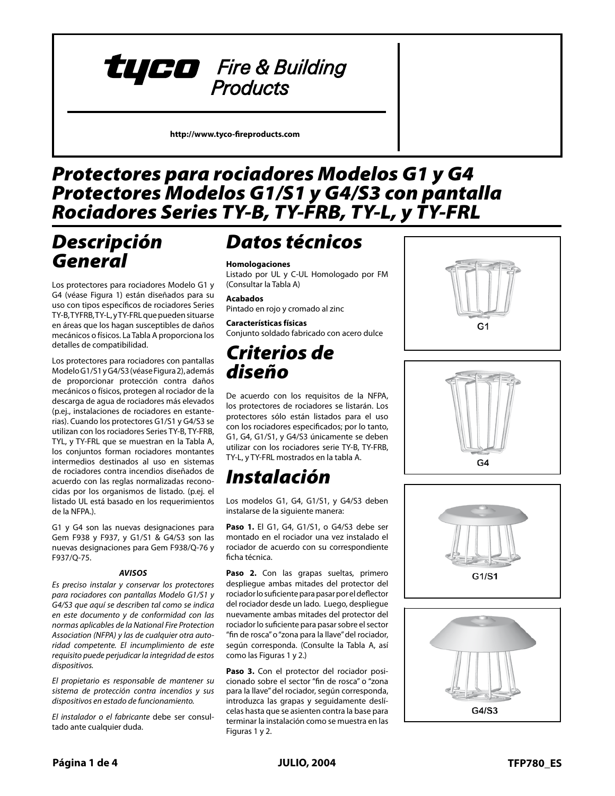# tyco Fire & Building **Products**

**http://www.tyco-fireproducts.com** 

## *Model G1 & G4 Sprinkler Guards Protectores para rociadores Modelos G1 y G4 Model G1/S1 & G4/S3 Guards with Shields Protectores Modelos G1/S1 y G4/S3 con pantalla Series TY-B, TY-FRB, TY-L, and TY-FRL Sprinklers Rociadores Series TY-B, TY-FRB, TY-L, y TY-FRL*

# *General Descripción Description General*

Los protectores para rociadores Modelo G1 y G4 (véase Figura 1) están diseñados para su uso con tipos específicos de rociadores Series TY-B, TYFRB, TY-L, y TY-FRL que pueden situarse en áreas que los hagan susceptibles de daños mecánicos o físicos. La Tabla A proporciona los detalles de compatibilidad.

ensie de sons details.<br>Los protectores para rociadores con pantallas Modelo G1/S1 y G4/S3 (véase Figura 2), además medere emer, emerçocase rigara 2, jacomias addition providencia e contra danos<br>mecánicos o físicos, protegen al rociador de la mechanical or physical damage, descarga de agua de rociadores más elevados uescarga de agua de rociadores mas elevados<br>(p.ej., instalaciones de rociadores en estantep.ej., instalaciones de fociadores en estante rias). Cuando los protectores G1/S1 y G4/S3 se utilizan con los rociadores Series TY-B, TY-FRB,<br>TY-SI and TY-FR TYL, y TY-FRL que se muestran en la Tabla A, los conjuntos forman rociadores montantes intermedios destinados al uso en sistemas de rociadores contra incendios diseñados de acuerdo con las reglas normalizadas reconocidas por los organismos de listado. (p.ej. el listado UL está basado en los requerimientos de la NFPA.).

G1 y G4 son las nuevas designaciones para Gem F938 y F937, y G1/S1 & G4/S3 son las  $t$ ulevas designaciones para Gem F938/O-76 nuevas designaciones para Gem F938/Q-76 y<br>F937/Q-75  $\frac{1}{2}$ F937/Q-75.

### *AVISOS*

Es preciso instalar y conservar los protectores The Model G1 & G4 Sprinkler Guards *para rociadores con pantallas Modelo G1/S1 y .*<br>G4/S3 que aquí se describen tal como se indica with Shields described herein must be *en este documento y de conformidad con las*  installed and maintained in compli-*normas aplicables de la National Fire Protection*  formas aplicables ac la national memoreceusi Association (NFPA) y las de cualquier otra auto-<br>*Association (NFPA)* y las de cualquier otra autoridad competente. El incumplimiento de este in addition to the standards of any *requisito puede perjudicar la integridad de estos*  other authorities having jurisdiction. *dispositivos.* 

rupe to do so may impedente the integration of the integration of the integration of the integration of the in rity of these devices. *El propietario es responsable de mantener su*  The owner is responsible for maintain-*dispositivos en estado de funcionamiento.* ing their fire protection system and de*sistema de protección contra incendios y sus* 

vices in proper operating condition. *El instalador o el fabricante* debe ser consultado ante cualquier duda.

# *Technical Datos técnicos*

## **Homologaciones**<br>Listado por UL v

**Approvals** (Consultar la Tabla A) Listado por UL y C-UL Homologado por FM

### UL and C-UL Listed. FM Approved. **Acabados**

. . . . . . . . . .<br>Pintado en rojo y cromado al zinc

### **Finishes Características físicas** an accordonado no caso.<br>Conjunto soldado fabricado con acero dulce

## **Physical Characteristics** Criterios de diseño

*Design Criteria* De acuerdo con los requisitos de la NFPA, los protectores de rociadores se listarán. Los protectores sólo están listados para el uso con los rociadores especificados; por lo tanto, G1, G4, G1/S1, y G4/S3 únicamente se deben utilizar con los rociadores serie TY-B, TY-FRB, TY-L, y TY-FRL mostrados en la tabla A.

### TY-L, and TY-FRL Sprinklers shown in Table A. *Instalación*

*Installation* Los modelos G1, G4, G1/S1, y G4/S3 deben instalarse de la siguiente manera:

The Models G1, G4, G1/S1, and **Paso 1.** El G1, G4, G1/S1, o G4/S3 debe ser rociador de acuerdo con su correspondiente<br>ficha técnica  $\sum_{n=1}^{\infty}$ montado en el rociador una vez instalado el ficha técnica.

Paso 2. Con las grapas sueltas, primero despliegue ambas mitades del protector del rociador lo suficiente para pasar por el deflector del rociador desde un lado. Luego, despliegue nuevamente ambas mitades del protector del rociador lo suficiente para pasar sobre el sector "fin de rosca" o "zona para la llave" del rociador, según corresponda. (Consulte la Tabla A, así como las Figuras 1 y 2.)

pass over the sprinkler **"thread relief"** Paso 3. Con el protector del rociador posicionado sobre el sector "fin de rosca" o "zona para la llave" del rociador, según corresponda, **Step 3.** Step 3. With the Springler Guard position in the Springler Countries and position of the Springler Countries and position of the Spanish countries are continued to be a continued to be a continued to be a continu celas hasta que se asienten contra la base para<br>celas hasta que se asienten contra la base para terminar la instalación como se muestra en las<br>Fi Figuras 1 y 2. introduzca las grapas y seguidamente deslí-







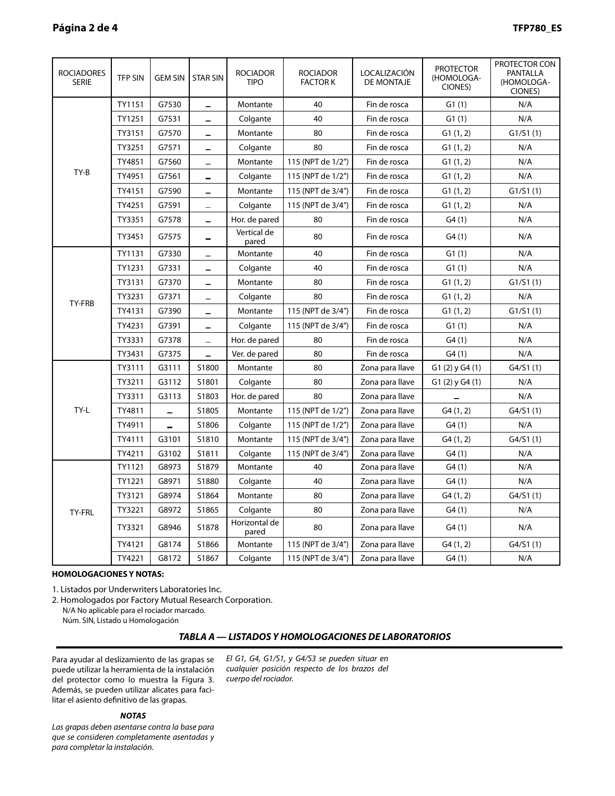| <b>ROCIADORES</b><br><b>SERIE</b> | <b>TFP SIN</b> | <b>GEM SIN</b> | <b>STAR SIN</b>          | <b>ROCIADOR</b><br><b>TIPO</b> | <b>ROCIADOR</b><br><b>FACTOR K</b> | LOCALIZACIÓN<br>DE MONTAJE | <b>PROTECTOR</b><br>(HOMOLOGA-<br>CIONES) | PROTECTOR CON<br>PANTALLA<br>(HOMOLOGA-<br>CIONES) |
|-----------------------------------|----------------|----------------|--------------------------|--------------------------------|------------------------------------|----------------------------|-------------------------------------------|----------------------------------------------------|
| TY-B                              | TY1151         | G7530          |                          | Montante                       | 40                                 | Fin de rosca               | G1(1)                                     | N/A                                                |
|                                   | TY1251         | G7531          |                          | Colgante                       | 40                                 | Fin de rosca               | G1(1)                                     | N/A                                                |
|                                   | TY3151         | G7570          |                          | Montante                       | 80                                 | Fin de rosca               | G1(1, 2)                                  | G1/S1(1)                                           |
|                                   | TY3251         | G7571          |                          | Colgante                       | 80                                 | Fin de rosca               | G1(1, 2)                                  | N/A                                                |
|                                   | TY4851         | G7560          | $\overline{\phantom{0}}$ | Montante                       | 115 (NPT de 1/2")                  | Fin de rosca               | G1(1, 2)                                  | N/A                                                |
|                                   | TY4951         | G7561          | ÷,                       | Colgante                       | 115 (NPT de 1/2")                  | Fin de rosca               | G1(1, 2)                                  | N/A                                                |
|                                   | TY4151         | G7590          | ÷,                       | Montante                       | 115 (NPT de 3/4")                  | Fin de rosca               | G1(1, 2)                                  | G1/S1(1)                                           |
|                                   | TY4251         | G7591          | $\equiv$                 | Colgante                       | 115 (NPT de 3/4")                  | Fin de rosca               | G1(1, 2)                                  | N/A                                                |
|                                   | TY3351         | G7578          |                          | Hor. de pared                  | 80                                 | Fin de rosca               | G4(1)                                     | N/A                                                |
|                                   | TY3451         | G7575          |                          | Vertical de<br>pared           | 80                                 | Fin de rosca               | G4(1)                                     | N/A                                                |
| TY-FRB                            | TY1131         | G7330          | $\equiv$                 | Montante                       | 40                                 | Fin de rosca               | G1(1)                                     | N/A                                                |
|                                   | TY1231         | G7331          | $\overline{\phantom{0}}$ | Colgante                       | 40                                 | Fin de rosca               | G1(1)                                     | N/A                                                |
|                                   | TY3131         | G7370          | $\overline{\phantom{a}}$ | Montante                       | 80                                 | Fin de rosca               | G1(1, 2)                                  | G1/S1(1)                                           |
|                                   | TY3231         | G7371          | -                        | Colgante                       | 80                                 | Fin de rosca               | G1(1, 2)                                  | N/A                                                |
|                                   | TY4131         | G7390          | -                        | Montante                       | 115 (NPT de 3/4")                  | Fin de rosca               | G1(1, 2)                                  | G1/S1(1)                                           |
|                                   | TY4231         | G7391          | -                        | Colgante                       | 115 (NPT de 3/4")                  | Fin de rosca               | G1(1)                                     | N/A                                                |
|                                   | TY3331         | G7378          | $\qquad \qquad$          | Hor. de pared                  | 80                                 | Fin de rosca               | G4(1)                                     | N/A                                                |
|                                   | TY3431         | G7375          | ÷.                       | Ver. de pared                  | 80                                 | Fin de rosca               | G4(1)                                     | N/A                                                |
| TY-L                              | TY3111         | G3111          | S1800                    | Montante                       | 80                                 | Zona para llave            | $G1(2)$ y $G4(1)$                         | G4/S1(1)                                           |
|                                   | TY3211         | G3112          | S1801                    | Colgante                       | 80                                 | Zona para llave            | $G1(2)$ y $G4(1)$                         | N/A                                                |
|                                   | TY3311         | G3113          | S1803                    | Hor. de pared                  | 80                                 | Zona para llave            |                                           | N/A                                                |
|                                   | TY4811         | $\equiv$       | S1805                    | Montante                       | 115 (NPT de 1/2")                  | Zona para llave            | G4(1, 2)                                  | G4/S1(1)                                           |
|                                   | TY4911         | $\equiv$       | S1806                    | Colgante                       | 115 (NPT de 1/2")                  | Zona para llave            | G4(1)                                     | N/A                                                |
|                                   | TY4111         | G3101          | S1810                    | Montante                       | 115 (NPT de 3/4")                  | Zona para llave            | G4(1, 2)                                  | G4/S1(1)                                           |
|                                   | TY4211         | G3102          | S1811                    | Colgante                       | 115 (NPT de 3/4")                  | Zona para llave            | G4(1)                                     | N/A                                                |
| TY-FRL                            | TY1121         | G8973          | S1879                    | Montante                       | 40                                 | Zona para llave            | G4(1)                                     | N/A                                                |
|                                   | TY1221         | G8971          | S1880                    | Colgante                       | 40                                 | Zona para llave            | G4(1)                                     | N/A                                                |
|                                   | TY3121         | G8974          | S1864                    | Montante                       | 80                                 | Zona para llave            | G4(1, 2)                                  | G4/S1(1)                                           |
|                                   | TY3221         | G8972          | S1865                    | Colgante                       | 80                                 | Zona para llave            | G4(1)                                     | N/A                                                |
|                                   | TY3321         | G8946          | S1878                    | Horizontal de<br>pared         | 80                                 | Zona para llave            | G4(1)                                     | N/A                                                |
|                                   | TY4121         | G8174          | S1866                    | Montante                       | 115 (NPT de 3/4")                  | Zona para llave            | G4(1, 2)                                  | G4/S1(1)                                           |
|                                   | TY4221         | G8172          | S1867                    | Colgante                       | 115 (NPT de 3/4")                  | Zona para llave            | G4(1)                                     | N/A                                                |

### **HOMOLOGACIONES Y NOTAS:**

Listados por Underwriters Laboratories Inc. 1. Listados por Underwriters Laboratories Inc. 1.

2. Homologados por Factory Mutual Research Corporation.

N/A No aplicable para el rociador marcado.

Núm. SIN, Listado u Homologación

## **TABLE A — LABORATORY LISTINGS AND APPROVALS** *TABLA A — LISTADOS Y HOMOLOGACIONES DE LABORATORIOS*

Para ayudar al deslizamiento de las grapas se puede utilizar la herramienta de la instalación 2. del protector como lo muestra la Figura 3. To the help assessed to help a single sliding of the sliding of the sliding of the sliding of the sliding of the sliding of the sliding of the sliding of the sliding of the sliding of the sliding of the sliding of the slid litar el asiento definitivo de las grapas. Además, se pueden utilizar alicates para faci-

## be used as shown in Figure 3. In addi-*NOTAS*

Las grapas deben asentarse contra la base para final seating of the Clips. *que se consideren completamente asentadas y para completar la instalación.*

**NOTES** *El G1, G4, G1/S1, y G4/S3 se pueden situar en*  cualquier posición respecto de los brazos del in order to be considered fully seated *cuerpo del rociador.*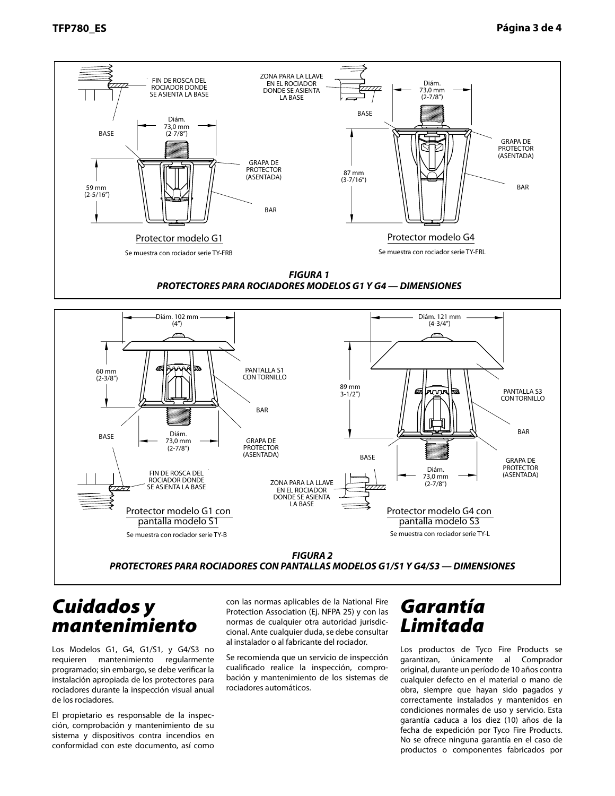

## *Care and Cuidados y Maintenance mantenimiento*

ROCIADOR DONDE FIN DE ROSCA DEL SE ASIENTA LA BASE

SPRING AND THE ROCIADOR DONDE<br>SE ASIENTA LA BASE THE ROCIADOR

**Pantalla modelo S1** 

Protector modelo G1 con

Los Modelos G1, G4, G1/S1, y G4/S3 no ess modeles en, en, ensing ensis no scheduled maintenance; however, programado; sin embargo, se debe verificar la programado, sin embargo, se debe venncar la<br>instalación apropiada de los protectores para Guards should be verified to the verified during the verified during the verified of the verified of the verif<br>In the verified during the verified during the verified of the verified of the verified of the verified of the rociadores durante la inspección visual anual de los rociadores<mark>.</mark>

El propietario es responsable de la inspección, comprobación y mantenimiento de su sistema y dispositivos contra incendios en conformidad con este documento, así como

con las normas aplicables de la National Fire Protection Association (Ej. NFPA 25) y con las normas de cualquier otra autoridad jurisdicstandards of the National Fire Protec-cional. Ante cualquier duda, se debe consultar tionally like each part actual section construction in the early section (e.g., NFP), in the section of the section of the section of the section of the section of the section of the section of the section of the section o al instalador o al fabricante del rociador.<br>.

**FIGURE 2** *FIGURA 2* PROTECTORES PARA ROCIADORES CON PANTALLAS MODELOS G1/S1 Y G4/S3 — DIMENSIONES

Se muestra con rociador serie TY-B Springler Serie TY-L Serie TY-L Serie TY-L Serie TY-L Serie TY-L Serie TY-L

EN EL ROCIADOR DONDE SE ASIENTA LA BASE

Se recomienda que un servicio de inspección cualificado realice la inspección, comprobación y mantenimiento de los sistemas de rociadores automáticos.

# *Limited Garantía Warranty Limitada*

ווווו ט,כ *ו*<br>ב*ייצו*ד.

Protector modelo G4 con **Modelo S3** Se muestra con rociador serie TY-L

> Los productos de Tyco Fire Products se zos productos de rijeo rife rioducto se<br>garantizan, únicamente al Comprador original Buyer for ten (10) years original, durante un período de 10 años contra against defects in material and work-cualquier defecto en el material o mano de mandana delecto en el material o mano de obra, siempre que hayan sido pagados y correctamente instalados y mantenidos en condiciones normales de uso y servicio. Esta garantía caduca a los diez (10) años de la fecha de expedición por Tyco Fire Products. No se ofrece ninguna garantía en el caso de productos o componentes fabricados por

(ASENTADA)